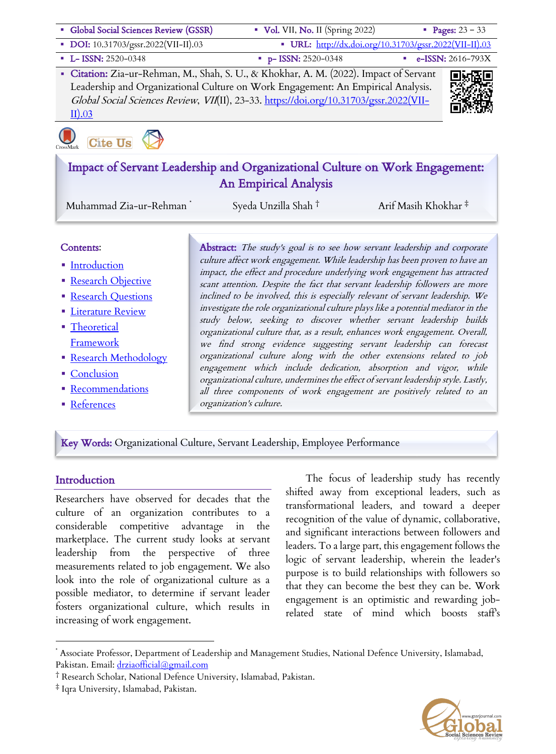| · Global Social Sciences Review (GSSR)                                                                      | Vol. VII, No. II (Spring 2022)                                                                                                                                                                                                                                                                                        | <b>Pages:</b> $23 - 33$         |  |  |  |  |
|-------------------------------------------------------------------------------------------------------------|-----------------------------------------------------------------------------------------------------------------------------------------------------------------------------------------------------------------------------------------------------------------------------------------------------------------------|---------------------------------|--|--|--|--|
| DOI: 10.31703/gssr.2022(VII-II).03                                                                          | • URL: http://dx.doi.org/10.31703/gssr.2022(VII-II).03                                                                                                                                                                                                                                                                |                                 |  |  |  |  |
| • L- ISSN: 2520-0348                                                                                        | $p-$ ISSN: 2520-0348                                                                                                                                                                                                                                                                                                  | $-e$ -ISSN: 2616-793X           |  |  |  |  |
|                                                                                                             | - Citation: Zia-ur-Rehman, M., Shah, S. U., & Khokhar, A. M. (2022). Impact of Servant                                                                                                                                                                                                                                |                                 |  |  |  |  |
| II).03                                                                                                      | Leadership and Organizational Culture on Work Engagement: An Empirical Analysis.<br>Global Social Sciences Review, VII(II), 23-33. https://doi.org/10.31703/gssr.2022(VII-                                                                                                                                            |                                 |  |  |  |  |
| <b>Cite Us</b>                                                                                              |                                                                                                                                                                                                                                                                                                                       |                                 |  |  |  |  |
| Impact of Servant Leadership and Organizational Culture on Work Engagement:<br><b>An Empirical Analysis</b> |                                                                                                                                                                                                                                                                                                                       |                                 |  |  |  |  |
| Muhammad Zia-ur-Rehman                                                                                      | Syeda Unzilla Shah <sup>+</sup>                                                                                                                                                                                                                                                                                       | Arif Masih Khokhar <sup>‡</sup> |  |  |  |  |
| Contents:<br><u>Introduction</u><br><b>Research Objective</b>                                               | Abstract: The study's goal is to see how servant leadership and corporate<br>culture affect work engagement. While leadership has been proven to have an<br>impact, the effect and procedure underlying work engagement has attracted<br>scant attention. Despite the fact that servant leadership followers are more |                                 |  |  |  |  |

- Research Ouestions
- **Eliterature Review**
- § Theoretical Framework
- **Research Methodology**
- Conclusion
- Recommendations
- References

scant attention. Despite the fact that servant leadership followers are more inclined to be involved, this is especially relevant of servant leadership. We investigate the role organizational culture plays like a potential mediator in the study below, seeking to discover whether servant leadership builds organizational culture that, as a result, enhances work engagement. Overall, we find strong evidence suggesting servant leadership can forecast organizational culture along with the other extensions related to job engagement which include dedication, absorption and vigor, while organizational culture, undermines the effect of servant leadership style. Lastly, all three components of work engagement are positively related to an organization's culture.

Key Words: Organizational Culture, Servant Leadership, Employee Performance

#### **Introduction**

Researchers have observed for decades that the culture of an organization contributes to a considerable competitive advantage in the marketplace. The current study looks at servant leadership from the perspective of three measurements related to job engagement. We also look into the role of organizational culture as a possible mediator, to determine if servant leader fosters organizational culture, which results in increasing of work engagement.

The focus of leadership study has recently shifted away from exceptional leaders, such as transformational leaders, and toward a deeper recognition of the value of dynamic, collaborative, and significant interactions between followers and leaders. To a large part, this engagement follows the logic of servant leadership, wherein the leader's purpose is to build relationships with followers so that they can become the best they can be. Work engagement is an optimistic and rewarding jobrelated state of mind which boosts staff's



<sup>\*</sup> Associate Professor, Department of Leadership and Management Studies, National Defence University, Islamabad, Pakistan. Email: drziaofficial@gmail.com

<sup>†</sup> Research Scholar, National Defence University, Islamabad, Pakistan.

<sup>‡</sup> Iqra University, Islamabad, Pakistan.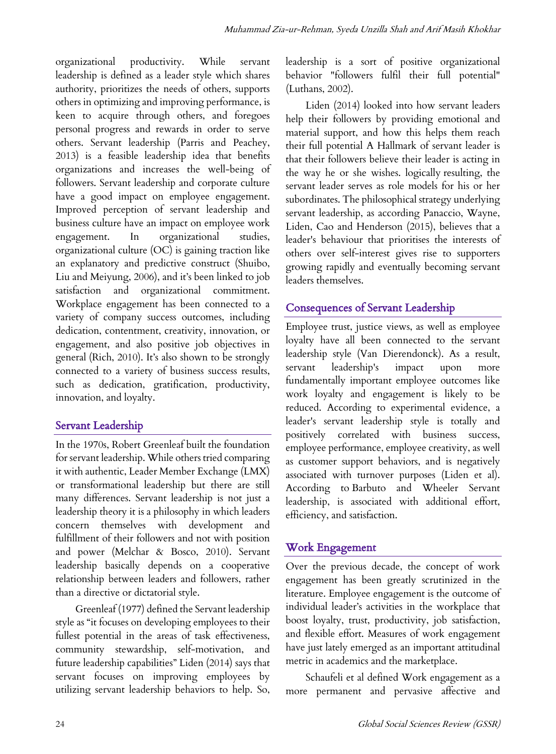organizational productivity. While servant leadership is defined as a leader style which shares authority, prioritizes the needs of others, supports others in optimizing and improving performance, is keen to acquire through others, and foregoes personal progress and rewards in order to serve others. Servant leadership (Parris and Peachey, 2013) is a feasible leadership idea that benefits organizations and increases the well-being of followers. Servant leadership and corporate culture have a good impact on employee engagement. Improved perception of servant leadership and business culture have an impact on employee work engagement. In organizational studies, organizational culture (OC) is gaining traction like an explanatory and predictive construct (Shuibo, Liu and Meiyung, 2006), and it's been linked to job satisfaction and organizational commitment. Workplace engagement has been connected to a variety of company success outcomes, including dedication, contentment, creativity, innovation, or engagement, and also positive job objectives in general (Rich, 2010). It's also shown to be strongly connected to a variety of business success results, such as dedication, gratification, productivity, innovation, and loyalty.

# Servant Leadership

In the 1970s, Robert Greenleaf built the foundation for servant leadership. While others tried comparing it with authentic, Leader Member Exchange (LMX) or transformational leadership but there are still many differences. Servant leadership is not just a leadership theory it is a philosophy in which leaders concern themselves with development and fulfillment of their followers and not with position and power (Melchar & Bosco, 2010). Servant leadership basically depends on a cooperative relationship between leaders and followers, rather than a directive or dictatorial style.

Greenleaf (1977) defined the Servant leadership style as "it focuses on developing employees to their fullest potential in the areas of task effectiveness, community stewardship, self-motivation, and future leadership capabilities" Liden (2014) says that servant focuses on improving employees by utilizing servant leadership behaviors to help. So, leadership is a sort of positive organizational behavior "followers fulfil their full potential" (Luthans, 2002).

Liden (2014) looked into how servant leaders help their followers by providing emotional and material support, and how this helps them reach their full potential A Hallmark of servant leader is that their followers believe their leader is acting in the way he or she wishes. logically resulting, the servant leader serves as role models for his or her subordinates. The philosophical strategy underlying servant leadership, as according Panaccio, Wayne, Liden, Cao and Henderson (2015), believes that a leader's behaviour that prioritises the interests of others over self-interest gives rise to supporters growing rapidly and eventually becoming servant leaders themselves.

## Consequences of Servant Leadership

Employee trust, justice views, as well as employee loyalty have all been connected to the servant leadership style (Van Dierendonck). As a result, servant leadership's impact upon more fundamentally important employee outcomes like work loyalty and engagement is likely to be reduced. According to experimental evidence, a leader's servant leadership style is totally and positively correlated with business success, employee performance, employee creativity, as well as customer support behaviors, and is negatively associated with turnover purposes (Liden et al). According to Barbuto and Wheeler Servant leadership, is associated with additional effort, efficiency, and satisfaction.

## Work Engagement

Over the previous decade, the concept of work engagement has been greatly scrutinized in the literature. Employee engagement is the outcome of individual leader's activities in the workplace that boost loyalty, trust, productivity, job satisfaction, and flexible effort. Measures of work engagement have just lately emerged as an important attitudinal metric in academics and the marketplace.

Schaufeli et al defined Work engagement as a more permanent and pervasive affective and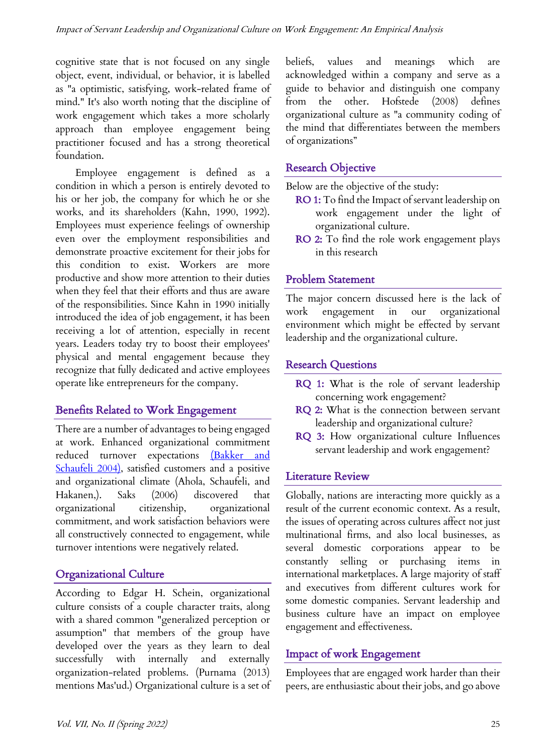cognitive state that is not focused on any single object, event, individual, or behavior, it is labelled as "a optimistic, satisfying, work-related frame of mind." It's also worth noting that the discipline of work engagement which takes a more scholarly approach than employee engagement being practitioner focused and has a strong theoretical foundation.

Employee engagement is defined as a condition in which a person is entirely devoted to his or her job, the company for which he or she works, and its shareholders (Kahn, 1990, 1992). Employees must experience feelings of ownership even over the employment responsibilities and demonstrate proactive excitement for their jobs for this condition to exist. Workers are more productive and show more attention to their duties when they feel that their efforts and thus are aware of the responsibilities. Since Kahn in 1990 initially introduced the idea of job engagement, it has been receiving a lot of attention, especially in recent years. Leaders today try to boost their employees' physical and mental engagement because they recognize that fully dedicated and active employees operate like entrepreneurs for the company.

## Benefits Related to Work Engagement

There are a number of advantages to being engaged at work. Enhanced organizational commitment reduced turnover expectations (Bakker and Schaufeli 2004), satisfied customers and a positive and organizational climate (Ahola, Schaufeli, and Hakanen,). Saks (2006) discovered that organizational citizenship, organizational commitment, and work satisfaction behaviors were all constructively connected to engagement, while turnover intentions were negatively related.

## Organizational Culture

According to Edgar H. Schein, organizational culture consists of a couple character traits, along with a shared common "generalized perception or assumption" that members of the group have developed over the years as they learn to deal successfully with internally and externally organization-related problems. (Purnama (2013) mentions Mas'ud.) Organizational culture is a set of beliefs, values and meanings which are acknowledged within a company and serve as a guide to behavior and distinguish one company from the other. Hofstede (2008) defines organizational culture as "a community coding of the mind that differentiates between the members of organizations"

### Research Objective

Below are the objective of the study:

- RO 1: To find the Impact of servant leadership on work engagement under the light of organizational culture.
- RO 2: To find the role work engagement plays in this research

### Problem Statement

The major concern discussed here is the lack of work engagement in our organizational environment which might be effected by servant leadership and the organizational culture.

## Research Questions

- RQ 1: What is the role of servant leadership concerning work engagement?
- RQ 2: What is the connection between servant leadership and organizational culture?
- RQ 3: How organizational culture Influences servant leadership and work engagement?

### Literature Review

Globally, nations are interacting more quickly as a result of the current economic context. As a result, the issues of operating across cultures affect not just multinational firms, and also local businesses, as several domestic corporations appear to be constantly selling or purchasing items in international marketplaces. A large majority of staff and executives from different cultures work for some domestic companies. Servant leadership and business culture have an impact on employee engagement and effectiveness.

## Impact of work Engagement

Employees that are engaged work harder than their peers, are enthusiastic about their jobs, and go above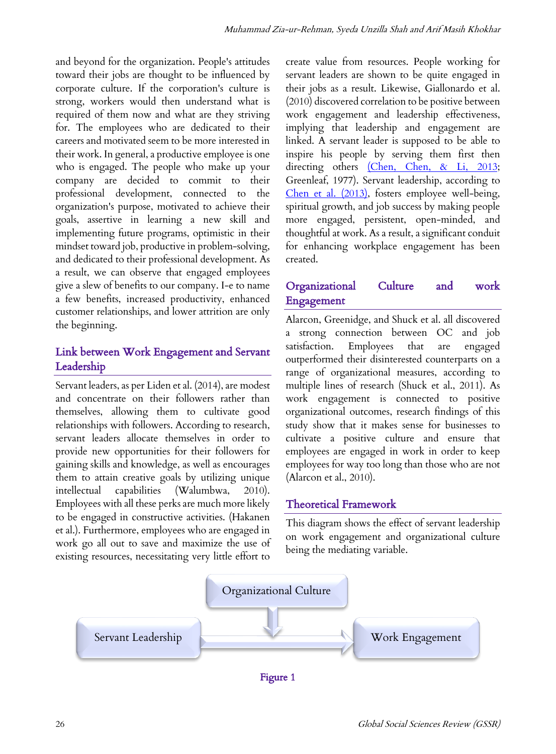and beyond for the organization. People's attitudes toward their jobs are thought to be influenced by corporate culture. If the corporation's culture is strong, workers would then understand what is required of them now and what are they striving for. The employees who are dedicated to their careers and motivated seem to be more interested in their work. In general, a productive employee is one who is engaged. The people who make up your company are decided to commit to their professional development, connected to the organization's purpose, motivated to achieve their goals, assertive in learning a new skill and implementing future programs, optimistic in their mindset toward job, productive in problem-solving, and dedicated to their professional development. As a result, we can observe that engaged employees give a slew of benefits to our company. I-e to name a few benefits, increased productivity, enhanced customer relationships, and lower attrition are only the beginning.

## Link between Work Engagement and Servant Leadership

Servant leaders, as per Liden et al. (2014), are modest and concentrate on their followers rather than themselves, allowing them to cultivate good relationships with followers. According to research, servant leaders allocate themselves in order to provide new opportunities for their followers for gaining skills and knowledge, as well as encourages them to attain creative goals by utilizing unique intellectual capabilities (Walumbwa, 2010). Employees with all these perks are much more likely to be engaged in constructive activities. (Hakanen et al.). Furthermore, employees who are engaged in work go all out to save and maximize the use of existing resources, necessitating very little effort to

create value from resources. People working for servant leaders are shown to be quite engaged in their jobs as a result. Likewise, Giallonardo et al. (2010) discovered correlation to be positive between work engagement and leadership effectiveness, implying that leadership and engagement are linked. A servant leader is supposed to be able to inspire his people by serving them first then directing others (Chen, Chen, & Li, 2013; Greenleaf, 1977). Servant leadership, according to Chen et al. (2013), fosters employee well-being, spiritual growth, and job success by making people more engaged, persistent, open-minded, and thoughtful at work. As a result, a significant conduit for enhancing workplace engagement has been created.

# Organizational Culture and work Engagement

Alarcon, Greenidge, and Shuck et al. all discovered a strong connection between OC and job satisfaction. Employees that are engaged outperformed their disinterested counterparts on a range of organizational measures, according to multiple lines of research (Shuck et al., 2011). As work engagement is connected to positive organizational outcomes, research findings of this study show that it makes sense for businesses to cultivate a positive culture and ensure that employees are engaged in work in order to keep employees for way too long than those who are not (Alarcon et al., 2010).

### Theoretical Framework

This diagram shows the effect of servant leadership on work engagement and organizational culture being the mediating variable.



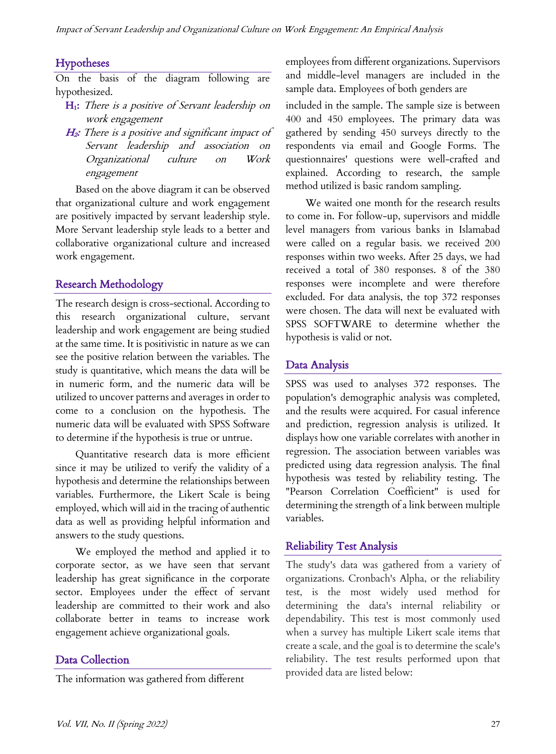### Hypotheses

On the basis of the diagram following are hypothesized.

- H1: There is a positive of Servant leadership on work engagement
- $H_2$ : There is a positive and significant impact of Servant leadership and association on Organizational culture on Work engagement

Based on the above diagram it can be observed that organizational culture and work engagement are positively impacted by servant leadership style. More Servant leadership style leads to a better and collaborative organizational culture and increased work engagement.

## Research Methodology

The research design is cross-sectional. According to this research organizational culture, servant leadership and work engagement are being studied at the same time. It is positivistic in nature as we can see the positive relation between the variables. The study is quantitative, which means the data will be in numeric form, and the numeric data will be utilized to uncover patterns and averages in order to come to a conclusion on the hypothesis. The numeric data will be evaluated with SPSS Software to determine if the hypothesis is true or untrue.

Quantitative research data is more efficient since it may be utilized to verify the validity of a hypothesis and determine the relationships between variables. Furthermore, the Likert Scale is being employed, which will aid in the tracing of authentic data as well as providing helpful information and answers to the study questions.

We employed the method and applied it to corporate sector, as we have seen that servant leadership has great significance in the corporate sector. Employees under the effect of servant leadership are committed to their work and also collaborate better in teams to increase work engagement achieve organizational goals.

### Data Collection

The information was gathered from different

employees from different organizations. Supervisors and middle-level managers are included in the sample data. Employees of both genders are

included in the sample. The sample size is between 400 and 450 employees. The primary data was gathered by sending 450 surveys directly to the respondents via email and Google Forms. The questionnaires' questions were well-crafted and explained. According to research, the sample method utilized is basic random sampling.

We waited one month for the research results to come in. For follow-up, supervisors and middle level managers from various banks in Islamabad were called on a regular basis. we received 200 responses within two weeks. After 25 days, we had received a total of 380 responses. 8 of the 380 responses were incomplete and were therefore excluded. For data analysis, the top 372 responses were chosen. The data will next be evaluated with SPSS SOFTWARE to determine whether the hypothesis is valid or not.

### Data Analysis

SPSS was used to analyses 372 responses. The population's demographic analysis was completed, and the results were acquired. For casual inference and prediction, regression analysis is utilized. It displays how one variable correlates with another in regression. The association between variables was predicted using data regression analysis. The final hypothesis was tested by reliability testing. The "Pearson Correlation Coefficient" is used for determining the strength of a link between multiple variables.

### Reliability Test Analysis

The study's data was gathered from a variety of organizations. Cronbach's Alpha, or the reliability test, is the most widely used method for determining the data's internal reliability or dependability. This test is most commonly used when a survey has multiple Likert scale items that create a scale, and the goal is to determine the scale's reliability. The test results performed upon that provided data are listed below: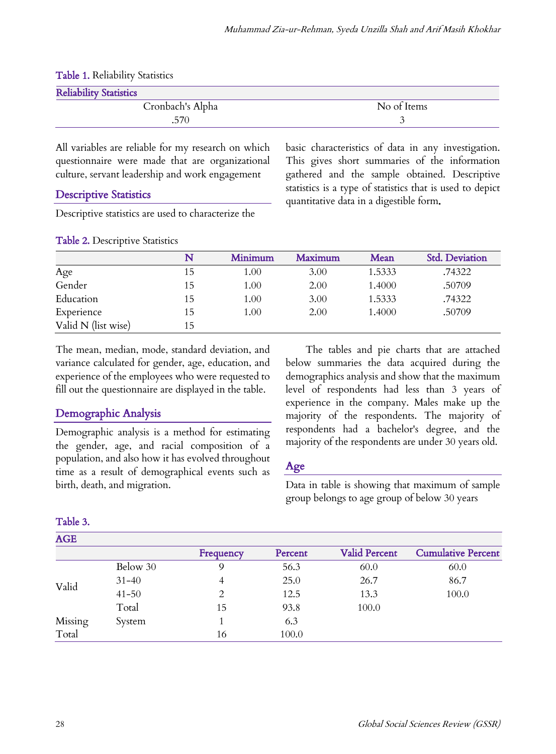| Table 1. Reliability Statistics |  |  |  |  |  |
|---------------------------------|--|--|--|--|--|
|---------------------------------|--|--|--|--|--|

| <b>Reliability Statistics</b> |             |
|-------------------------------|-------------|
| Cronbach's Alpha              | No of Items |
| .570                          |             |

All variables are reliable for my research on which questionnaire were made that are organizational culture, servant leadership and work engagement

#### Descriptive Statistics

Descriptive statistics are used to characterize the

basic characteristics of data in any investigation. This gives short summaries of the information gathered and the sample obtained. Descriptive statistics is a type of statistics that is used to depict quantitative data in a digestible form.

| Table 2. Descriptive Statistics |
|---------------------------------|
|                                 |

|                     | N  | Minimum | Maximum | Mean   | Std. Deviation |
|---------------------|----|---------|---------|--------|----------------|
| Age                 | 15 | 1.00    | 3.00    | 1.5333 | .74322         |
| Gender              | 15 | 1.00    | 2.00    | 1.4000 | .50709         |
| Education           | 15 | 1.00    | 3.00    | 1.5333 | .74322         |
| Experience          | 15 | 1.00    | 2.00    | 1.4000 | .50709         |
| Valid N (list wise) | 15 |         |         |        |                |

The mean, median, mode, standard deviation, and variance calculated for gender, age, education, and experience of the employees who were requested to fill out the questionnaire are displayed in the table.

## Demographic Analysis

Demographic analysis is a method for estimating the gender, age, and racial composition of a population, and also how it has evolved throughout time as a result of demographical events such as birth, death, and migration.

The tables and pie charts that are attached below summaries the data acquired during the demographics analysis and show that the maximum level of respondents had less than 3 years of experience in the company. Males make up the majority of the respondents. The majority of respondents had a bachelor's degree, and the majority of the respondents are under 30 years old.

### Age

Data in table is showing that maximum of sample group belongs to age group of below 30 years

#### Table 3.

| <b>AGE</b> |           |           |         |                      |                           |
|------------|-----------|-----------|---------|----------------------|---------------------------|
|            |           | Frequency | Percent | <b>Valid Percent</b> | <b>Cumulative Percent</b> |
|            | Below 30  | 9         | 56.3    | 60.0                 | 60.0                      |
| Valid      | $31 - 40$ | 4         | 25.0    | 26.7                 | 86.7                      |
|            | $41 - 50$ | 2         | 12.5    | 13.3                 | 100.0                     |
|            | Total     | 15        | 93.8    | 100.0                |                           |
| Missing    | System    |           | 6.3     |                      |                           |
| Total      |           | 16        | 100.0   |                      |                           |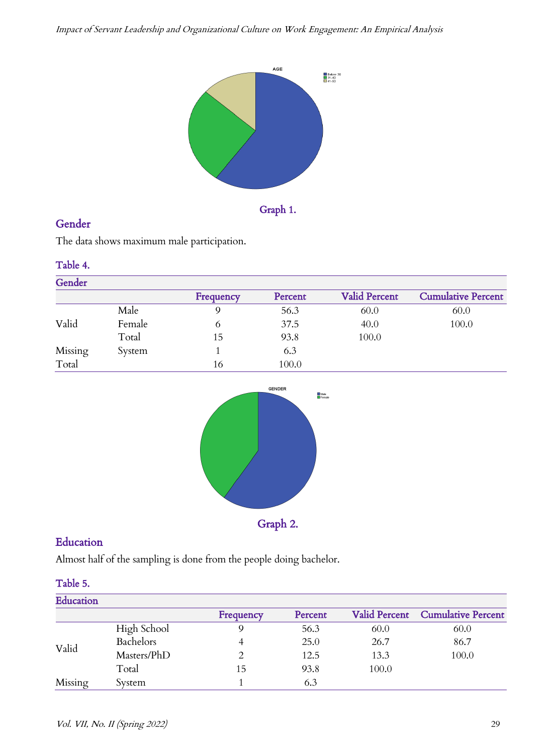

# Gender

The data shows maximum male participation.

### Table 4.

| Gender  |        |           |         |               |                           |
|---------|--------|-----------|---------|---------------|---------------------------|
|         |        | Frequency | Percent | Valid Percent | <b>Cumulative Percent</b> |
|         | Male   |           | 56.3    | 60.0          | 60.0                      |
| Valid   | Female | O         | 37.5    | 40.0          | 100.0                     |
|         | Total  | 15        | 93.8    | 100.0         |                           |
| Missing | System |           | 6.3     |               |                           |
| Total   |        | 16        | 100.0   |               |                           |



## Education

Almost half of the sampling is done from the people doing bachelor.

### Table 5.

| Education |             |           |         |               |                           |
|-----------|-------------|-----------|---------|---------------|---------------------------|
|           |             | Frequency | Percent | Valid Percent | <b>Cumulative Percent</b> |
|           | High School |           | 56.3    | 60.0          | 60.0                      |
| Valid     | Bachelors   | 4         | 25.0    | 26.7          | 86.7                      |
|           | Masters/PhD |           | 12.5    | 13.3          | 100.0                     |
|           | Total       | 15        | 93.8    | 100.0         |                           |
| Missing   | System      |           | 6.3     |               |                           |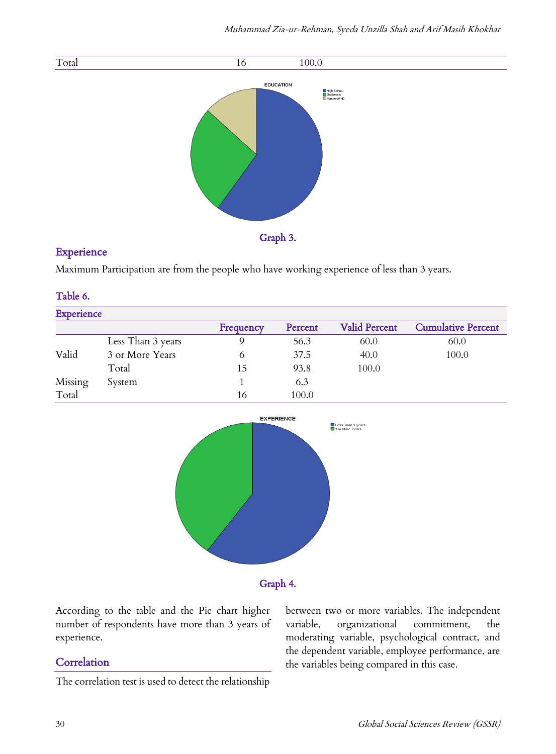

### **Experience**

Maximum Participation are from the people who have working experience of less than 3 years.

| <b>Experience</b> |                   |           |         |                      |                           |
|-------------------|-------------------|-----------|---------|----------------------|---------------------------|
|                   |                   | Frequency | Percent | <b>Valid Percent</b> | <b>Cumulative Percent</b> |
|                   | Less Than 3 years |           | 56.3    | 60.0                 | 60.0                      |
| Valid             | 3 or More Years   | 6         | 37.5    | 40.0                 | 100.0                     |
|                   | Total             | 15        | 93.8    | 100.0                |                           |
| Missing           | System            |           | 6.3     |                      |                           |
| Total             |                   | 16        | 100.0   |                      |                           |





According to the table and the Pie chart higher number of respondents have more than 3 years of experience.

### **Correlation**

The correlation test is used to detect the relationship

between two or more variables. The independent variable, organizational commitment, the moderating variable, psychological contract, and the dependent variable, employee performance, are the variables being compared in this case.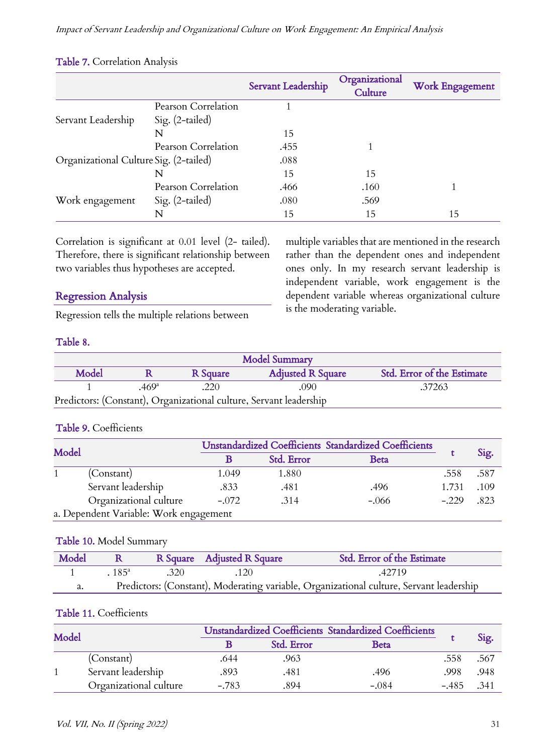Impact of Servant Leadership and Organizational Culture on Work Engagement: An Empirical Analysis

|                                        |                     | Servant Leadership | Organizational<br>Culture | Work Engagement |
|----------------------------------------|---------------------|--------------------|---------------------------|-----------------|
|                                        | Pearson Correlation |                    |                           |                 |
| Servant Leadership                     | Sig. $(2$ -tailed)  |                    |                           |                 |
|                                        | N                   | 15                 |                           |                 |
|                                        | Pearson Correlation | .455               |                           |                 |
| Organizational Culture Sig. (2-tailed) |                     | .088               |                           |                 |
|                                        | N                   | 15                 | 15                        |                 |
| Work engagement                        | Pearson Correlation | .466               | .160                      |                 |
|                                        | Sig. $(2$ -tailed)  | .080               | .569                      |                 |
|                                        | N                   | 15                 | 15                        | 15              |

multiple variables that are mentioned in the research rather than the dependent ones and independent ones only. In my research servant leadership is independent variable, work engagement is the dependent variable whereas organizational culture

is the moderating variable.

#### Table 7. Correlation Analysis

Correlation is significant at 0.01 level (2- tailed). Therefore, there is significant relationship between two variables thus hypotheses are accepted.

### Regression Analysis

Regression tells the multiple relations between

Table 8.

| <b>Model Summary</b>                                               |                 |          |                          |                            |  |  |  |
|--------------------------------------------------------------------|-----------------|----------|--------------------------|----------------------------|--|--|--|
| Model                                                              |                 | R Square | <b>Adjusted R Square</b> | Std. Error of the Estimate |  |  |  |
|                                                                    | .469 $\rm ^{a}$ | 220      | 090                      | .37263                     |  |  |  |
| Predictors: (Constant), Organizational culture, Servant leadership |                 |          |                          |                            |  |  |  |

### Table 9. Coefficients

| Model                                  |                        | Unstandardized Coefficients Standardized Coefficients |            |             |         |      |
|----------------------------------------|------------------------|-------------------------------------------------------|------------|-------------|---------|------|
|                                        |                        |                                                       | Std. Error | <b>Beta</b> |         | Sig. |
|                                        | (Constant)             | 1.049                                                 | 1.880      |             | .558    | .587 |
|                                        | Servant leadership     | .833                                                  | .481       | .496        | 1.731   | .109 |
|                                        | Organizational culture | $-.072$                                               | .314       | $-.066$     | $-.229$ | .823 |
| a. Dependent Variable: Work engagement |                        |                                                       |            |             |         |      |

#### Table 10. Model Summary

| Model |                                                                                         |      | R Square Adjusted R Square | Std. Error of the Estimate |
|-------|-----------------------------------------------------------------------------------------|------|----------------------------|----------------------------|
|       | $185^{\rm a}$                                                                           | .320 | $-120$                     | .42719                     |
| a.    | Predictors: (Constant), Moderating variable, Organizational culture, Servant leadership |      |                            |                            |

#### Table 11. Coefficients

| Model |                        | Unstandardized Coefficients Standardized Coefficients |            |             |              |      |
|-------|------------------------|-------------------------------------------------------|------------|-------------|--------------|------|
|       |                        |                                                       | Std. Error | <b>Beta</b> |              | Sig. |
|       | (Constant)             | .644                                                  | .963       |             | .558         | .567 |
|       | Servant leadership     | .893                                                  | .481       | .496        | .998         | .948 |
|       | Organizational culture | $-.783$                                               | .894       | $-.084$     | $-.485-.341$ |      |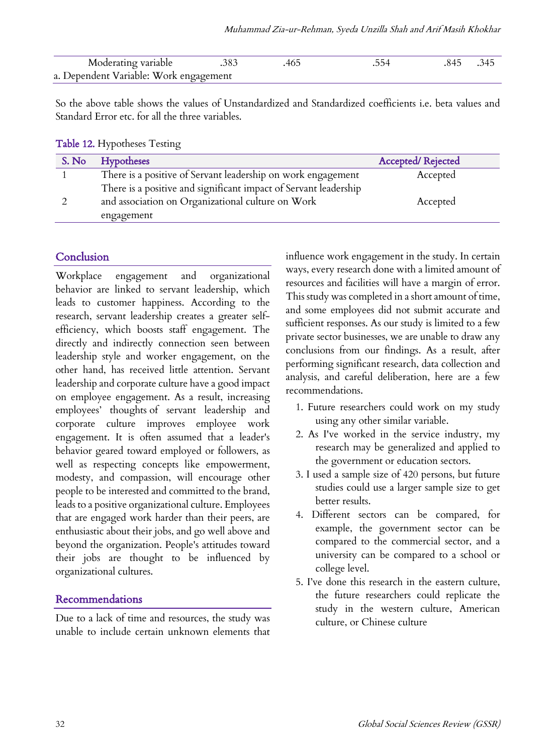| Moderating variable                    | .383 | .465 | .554 | .845. .345 |  |
|----------------------------------------|------|------|------|------------|--|
| a. Dependent Variable: Work engagement |      |      |      |            |  |

So the above table shows the values of Unstandardized and Standardized coefficients i.e. beta values and Standard Error etc. for all the three variables.

|  |  | Table 12. Hypotheses Testing |  |
|--|--|------------------------------|--|
|--|--|------------------------------|--|

| S. No | Hypotheses                                                                                                            | <b>Accepted/Rejected</b> |
|-------|-----------------------------------------------------------------------------------------------------------------------|--------------------------|
|       | There is a positive of Servant leadership on work engagement                                                          | Accepted                 |
|       | There is a positive and significant impact of Servant leadership<br>and association on Organizational culture on Work | Accepted                 |
|       | engagement                                                                                                            |                          |

#### Conclusion

Workplace engagement and organizational behavior are linked to servant leadership, which leads to customer happiness. According to the research, servant leadership creates a greater selfefficiency, which boosts staff engagement. The directly and indirectly connection seen between leadership style and worker engagement, on the other hand, has received little attention. Servant leadership and corporate culture have a good impact on employee engagement. As a result, increasing employees' thoughts of servant leadership and corporate culture improves employee work engagement. It is often assumed that a leader's behavior geared toward employed or followers, as well as respecting concepts like empowerment, modesty, and compassion, will encourage other people to be interested and committed to the brand, leads to a positive organizational culture. Employees that are engaged work harder than their peers, are enthusiastic about their jobs, and go well above and beyond the organization. People's attitudes toward their jobs are thought to be influenced by organizational cultures.

#### Recommendations

Due to a lack of time and resources, the study was unable to include certain unknown elements that

influence work engagement in the study. In certain ways, every research done with a limited amount of resources and facilities will have a margin of error. This study was completed in a short amount of time, and some employees did not submit accurate and sufficient responses. As our study is limited to a few private sector businesses, we are unable to draw any conclusions from our findings. As a result, after performing significant research, data collection and analysis, and careful deliberation, here are a few recommendations.

- 1. Future researchers could work on my study using any other similar variable.
- 2. As I've worked in the service industry, my research may be generalized and applied to the government or education sectors.
- 3. I used a sample size of 420 persons, but future studies could use a larger sample size to get better results.
- 4. Different sectors can be compared, for example, the government sector can be compared to the commercial sector, and a university can be compared to a school or college level.
- 5. I've done this research in the eastern culture, the future researchers could replicate the study in the western culture, American culture, or Chinese culture